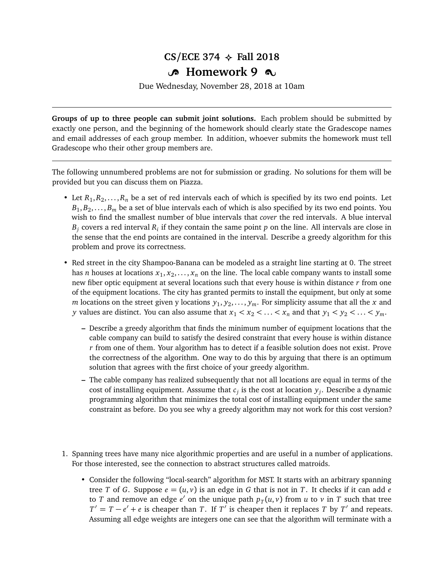## $CS/ECE$  374  $\leftrightarrow$  Fall 2018

## Y **Homework 9** Z

Due Wednesday, November 28, 2018 at 10am

**Groups of up to three people can submit joint solutions.** Each problem should be submitted by exactly one person, and the beginning of the homework should clearly state the Gradescope names and email addresses of each group member. In addition, whoever submits the homework must tell Gradescope who their other group members are.

The following unnumbered problems are not for submission or grading. No solutions for them will be provided but you can discuss them on Piazza.

- Let  $R_1, R_2, \ldots, R_n$  be a set of red intervals each of which is specified by its two end points. Let  $B_1, B_2, \ldots, B_m$  be a set of blue intervals each of which is also specified by its two end points. You wish to find the smallest number of blue intervals that *cover* the red intervals. A blue interval  $B_j$  covers a red interval  $R_i$  if they contain the same point  $p$  on the line. All intervals are close in the sense that the end points are contained in the interval. Describe a greedy algorithm for this problem and prove its correctness.
- Red street in the city Shampoo-Banana can be modeled as a straight line starting at 0. The street has *n* houses at locations  $x_1, x_2, \ldots, x_n$  on the line. The local cable company wants to install some new fiber optic equipment at several locations such that every house is within distance *r* from one of the equipment locations. The city has granted permits to install the equipment, but only at some *m* locations on the street given y locations  $y_1, y_2, \ldots, y_m$ . For simplicity assume that all the *x* and *y* values are distinct. You can also assume that  $x_1 < x_2 < \ldots < x_n$  and that  $y_1 < y_2 < \ldots < y_m$ .
	- **–** Describe a greedy algorithm that finds the minimum number of equipment locations that the cable company can build to satisfy the desired constraint that every house is within distance *r* from one of them. Your algorithm has to detect if a feasible solution does not exist. Prove the correctness of the algorithm. One way to do this by arguing that there is an optimum solution that agrees with the first choice of your greedy algorithm.
	- **–** The cable company has realized subsequently that not all locations are equal in terms of the cost of installing equipment. Asssume that *c<sup>j</sup>* is the cost at location *y<sup>j</sup>* . Describe a dynamic programming algorithm that minimizes the total cost of installing equipment under the same constraint as before. Do you see why a greedy algorithm may not work for this cost version?
- 1. Spanning trees have many nice algorithmic properties and are useful in a number of applications. For those interested, see the connection to abstract structures called matroids.
	- Consider the following "local-search" algorithm for MST. It starts with an arbitrary spanning tree *T* of *G*. Suppose  $e = (u, v)$  is an edge in *G* that is not in *T*. It checks if it can add *e* to *T* and remove an edge  $e'$  on the unique path  $p_T(u, v)$  from *u* to *v* in *T* such that tree  $T' = T - e' + e$  is cheaper than *T*. If *T*<sup>*i*</sup> is cheaper then it replaces *T* by *T'* and repeats. Assuming all edge weights are integers one can see that the algorithm will terminate with a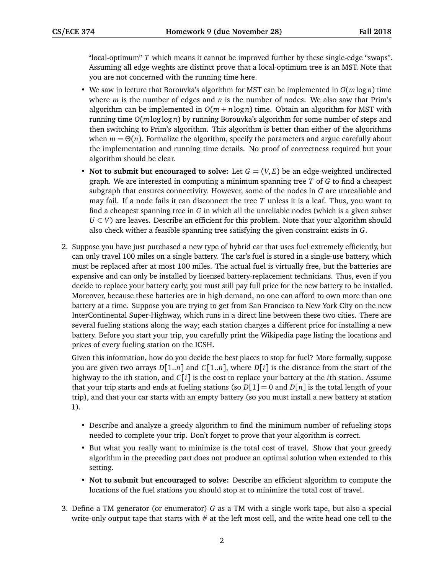"local-optimum" *T* which means it cannot be improved further by these single-edge "swaps". Assuming all edge weghts are distinct prove that a local-optimum tree is an MST. Note that you are not concerned with the running time here.

- We saw in lecture that Borouvka's algorithm for MST can be implemented in *O*(*m* log *n*) time where  $m$  is the number of edges and  $n$  is the number of nodes. We also saw that Prim's algorithm can be implemented in  $O(m + n \log n)$  time. Obtain an algorithm for MST with running time *O*(*m* loglog *n*) by running Borouvka's algorithm for some number of steps and then switching to Prim's algorithm. This algorithm is better than either of the algorithms when  $m = \Theta(n)$ . Formalize the algorithm, specify the parameters and argue carefully about the implementation and running time details. No proof of correctness required but your algorithm should be clear.
- **Not to submit but encouraged to solve:** Let  $G = (V, E)$  be an edge-weighted undirected graph. We are interested in computing a minimum spanning tree *T* of *G* to find a cheapest subgraph that ensures connectivity. However, some of the nodes in *G* are unrealiable and may fail. If a node fails it can disconnect the tree *T* unless it is a leaf. Thus, you want to find a cheapest spanning tree in *G* in which all the unreliable nodes (which is a given subset *U* ⊂ *V*) are leaves. Describe an efficient for this problem. Note that your algorithm should also check wither a feasible spanning tree satisfying the given constraint exists in *G*.
- 2. Suppose you have just purchased a new type of hybrid car that uses fuel extremely efficiently, but can only travel 100 miles on a single battery. The car's fuel is stored in a single-use battery, which must be replaced after at most 100 miles. The actual fuel is virtually free, but the batteries are expensive and can only be installed by licensed battery-replacement technicians. Thus, even if you decide to replace your battery early, you must still pay full price for the new battery to be installed. Moreover, because these batteries are in high demand, no one can afford to own more than one battery at a time. Suppose you are trying to get from San Francisco to New York City on the new InterContinental Super-Highway, which runs in a direct line between these two cities. There are several fueling stations along the way; each station charges a different price for installing a new battery. Before you start your trip, you carefully print the Wikipedia page listing the locations and prices of every fueling station on the ICSH.

Given this information, how do you decide the best places to stop for fuel? More formally, suppose you are given two arrays  $D[1..n]$  and  $C[1..n]$ , where  $D[i]$  is the distance from the start of the highway to the ith station, and *C*[*i*] is the cost to replace your battery at the *i*th station. Assume that your trip starts and ends at fueling stations (so  $D[1] = 0$  and  $D[n]$  is the total length of your trip), and that your car starts with an empty battery (so you must install a new battery at station 1).

- Describe and analyze a greedy algorithm to find the minimum number of refueling stops needed to complete your trip. Don't forget to prove that your algorithm is correct.
- But what you really want to minimize is the total cost of travel. Show that your greedy algorithm in the preceding part does not produce an optimal solution when extended to this setting.
- **Not to submit but encouraged to solve:** Describe an efficient algorithm to compute the locations of the fuel stations you should stop at to minimize the total cost of travel.
- 3. Define a TM generator (or enumerator) *G* as a TM with a single work tape, but also a special write-only output tape that starts with  $#$  at the left most cell, and the write head one cell to the